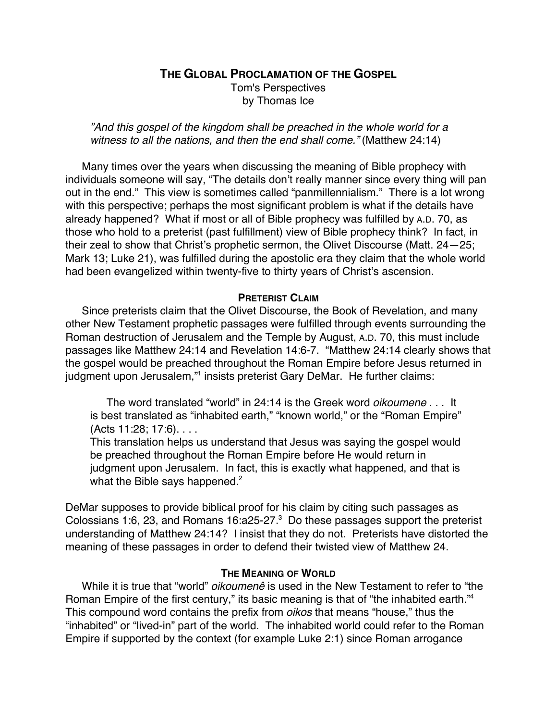# **THE GLOBAL PROCLAMATION OF THE GOSPEL**

Tom's Perspectives by Thomas Ice

"And this gospel of the kingdom shall be preached in the whole world for a witness to all the nations, and then the end shall come." (Matthew 24:14)

Many times over the years when discussing the meaning of Bible prophecy with individuals someone will say, "The details don't really manner since every thing will pan out in the end." This view is sometimes called "panmillennialism." There is a lot wrong with this perspective; perhaps the most significant problem is what if the details have already happened? What if most or all of Bible prophecy was fulfilled by A.D. 70, as those who hold to a preterist (past fulfillment) view of Bible prophecy think? In fact, in their zeal to show that Christ's prophetic sermon, the Olivet Discourse (Matt. 24—25; Mark 13; Luke 21), was fulfilled during the apostolic era they claim that the whole world had been evangelized within twenty-five to thirty years of Christ's ascension.

# **PRETERIST CLAIM**

Since preterists claim that the Olivet Discourse, the Book of Revelation, and many other New Testament prophetic passages were fulfilled through events surrounding the Roman destruction of Jerusalem and the Temple by August, A.D. 70, this must include passages like Matthew 24:14 and Revelation 14:6-7. "Matthew 24:14 clearly shows that the gospel would be preached throughout the Roman Empire before Jesus returned in judgment upon Jerusalem,"1 insists preterist Gary DeMar. He further claims:

The word translated "world" in 24:14 is the Greek word *oikoumene* . . . It is best translated as "inhabited earth," "known world," or the "Roman Empire" (Acts 11:28; 17:6). . . .

This translation helps us understand that Jesus was saying the gospel would be preached throughout the Roman Empire before He would return in judgment upon Jerusalem. In fact, this is exactly what happened, and that is what the Bible says happened. $2$ 

DeMar supposes to provide biblical proof for his claim by citing such passages as Colossians 1:6, 23, and Romans 16:a25-27. $3$  Do these passages support the preterist understanding of Matthew 24:14? I insist that they do not. Preterists have distorted the meaning of these passages in order to defend their twisted view of Matthew 24.

# **THE MEANING OF WORLD**

While it is true that "world" *oikoumenê* is used in the New Testament to refer to "the Roman Empire of the first century," its basic meaning is that of "the inhabited earth."<sup>4</sup> This compound word contains the prefix from oikos that means "house," thus the "inhabited" or "lived-in" part of the world. The inhabited world could refer to the Roman Empire if supported by the context (for example Luke 2:1) since Roman arrogance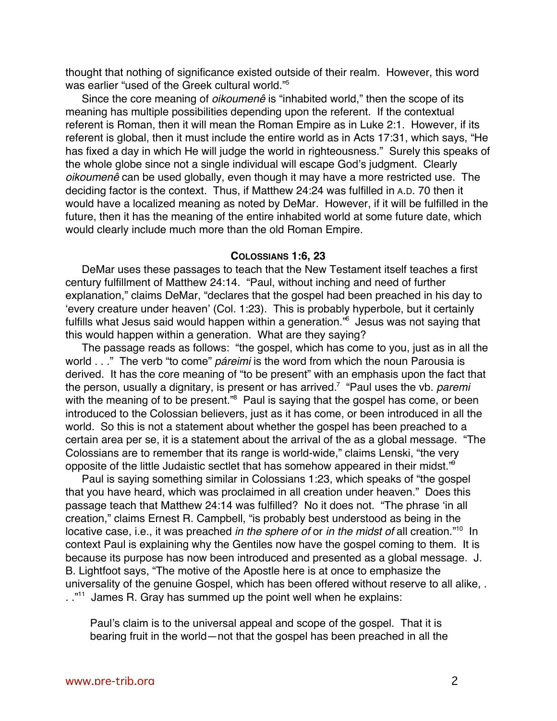thought that nothing of significance existed outside of their realm. However, this word was earlier "used of the Greek cultural world."5

Since the core meaning of *oikoumenê* is "inhabited world," then the scope of its meaning has multiple possibilities depending upon the referent. If the contextual referent is Roman, then it will mean the Roman Empire as in Luke 2:1. However, if its referent is global, then it must include the entire world as in Acts 17:31, which says, "He has fixed a day in which He will judge the world in righteousness." Surely this speaks of the whole globe since not a single individual will escape God's judgment. Clearly oikoumenê can be used globally, even though it may have a more restricted use. The deciding factor is the context. Thus, if Matthew 24:24 was fulfilled in A.D. 70 then it would have a localized meaning as noted by DeMar. However, if it will be fulfilled in the future, then it has the meaning of the entire inhabited world at some future date, which would clearly include much more than the old Roman Empire.

# **COLOSSIANS 1:6, 23**

DeMar uses these passages to teach that the New Testament itself teaches a first century fulfillment of Matthew 24:14. "Paul, without inching and need of further explanation," claims DeMar, "declares that the gospel had been preached in his day to 'every creature under heaven' (Col. 1:23). This is probably hyperbole, but it certainly fulfills what Jesus said would happen within a generation."<sup>6</sup> Jesus was not saying that this would happen within a generation. What are they saying?

The passage reads as follows: "the gospel, which has come to you, just as in all the world . . ." The verb "to come" *páreimi* is the word from which the noun Parousia is derived. It has the core meaning of "to be present" with an emphasis upon the fact that the person, usually a dignitary, is present or has arrived.<sup>7</sup> "Paul uses the vb. *paremi* with the meaning of to be present."<sup>8</sup> Paul is saying that the gospel has come, or been introduced to the Colossian believers, just as it has come, or been introduced in all the world. So this is not a statement about whether the gospel has been preached to a certain area per se, it is a statement about the arrival of the as a global message. "The Colossians are to remember that its range is world-wide," claims Lenski, "the very opposite of the little Judaistic sectlet that has somehow appeared in their midst."9

Paul is saying something similar in Colossians 1:23, which speaks of "the gospel that you have heard, which was proclaimed in all creation under heaven." Does this passage teach that Matthew 24:14 was fulfilled? No it does not. "The phrase 'in all creation," claims Ernest R. Campbell, "is probably best understood as being in the locative case, i.e., it was preached *in the sphere of* or *in the midst of* all creation."<sup>10</sup> In context Paul is explaining why the Gentiles now have the gospel coming to them. It is because its purpose has now been introduced and presented as a global message. J. B. Lightfoot says, "The motive of the Apostle here is at once to emphasize the universality of the genuine Gospel, which has been offered without reserve to all alike, . .."<sup>11</sup> James R. Gray has summed up the point well when he explains:

Paul's claim is to the universal appeal and scope of the gospel. That it is bearing fruit in the world—not that the gospel has been preached in all the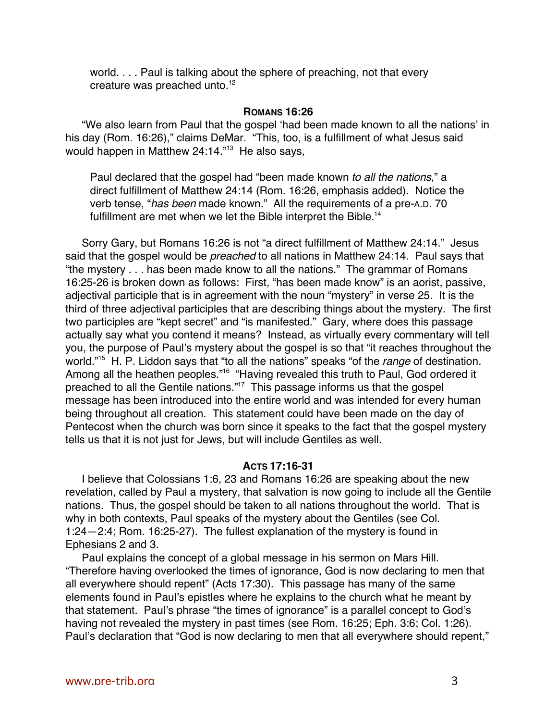world. . . . Paul is talking about the sphere of preaching, not that every creature was preached unto.<sup>12</sup>

### **ROMANS 16:26**

"We also learn from Paul that the gospel 'had been made known to all the nations' in his day (Rom. 16:26)," claims DeMar. "This, too, is a fulfillment of what Jesus said would happen in Matthew 24:14."<sup>13</sup> He also says,

Paul declared that the gospel had "been made known to all the nations," a direct fulfillment of Matthew 24:14 (Rom. 16:26, emphasis added). Notice the verb tense, "has been made known." All the requirements of a pre-A.D. 70 fulfillment are met when we let the Bible interpret the Bible.<sup>14</sup>

Sorry Gary, but Romans 16:26 is not "a direct fulfillment of Matthew 24:14." Jesus said that the gospel would be *preached* to all nations in Matthew 24:14. Paul says that "the mystery . . . has been made know to all the nations." The grammar of Romans 16:25-26 is broken down as follows: First, "has been made know" is an aorist, passive, adjectival participle that is in agreement with the noun "mystery" in verse 25. It is the third of three adjectival participles that are describing things about the mystery. The first two participles are "kept secret" and "is manifested." Gary, where does this passage actually say what you contend it means? Instead, as virtually every commentary will tell you, the purpose of Paul's mystery about the gospel is so that "it reaches throughout the world."<sup>15</sup> H. P. Liddon says that "to all the nations" speaks "of the *range* of destination. Among all the heathen peoples."<sup>16</sup> "Having revealed this truth to Paul, God ordered it preached to all the Gentile nations."<sup>17</sup> This passage informs us that the gospel message has been introduced into the entire world and was intended for every human being throughout all creation. This statement could have been made on the day of Pentecost when the church was born since it speaks to the fact that the gospel mystery tells us that it is not just for Jews, but will include Gentiles as well.

# **ACTS 17:16-31**

I believe that Colossians 1:6, 23 and Romans 16:26 are speaking about the new revelation, called by Paul a mystery, that salvation is now going to include all the Gentile nations. Thus, the gospel should be taken to all nations throughout the world. That is why in both contexts, Paul speaks of the mystery about the Gentiles (see Col. 1:24—2:4; Rom. 16:25-27). The fullest explanation of the mystery is found in Ephesians 2 and 3.

Paul explains the concept of a global message in his sermon on Mars Hill. "Therefore having overlooked the times of ignorance, God is now declaring to men that all everywhere should repent" (Acts 17:30). This passage has many of the same elements found in Paul's epistles where he explains to the church what he meant by that statement. Paul's phrase "the times of ignorance" is a parallel concept to God's having not revealed the mystery in past times (see Rom. 16:25; Eph. 3:6; Col. 1:26). Paul's declaration that "God is now declaring to men that all everywhere should repent,"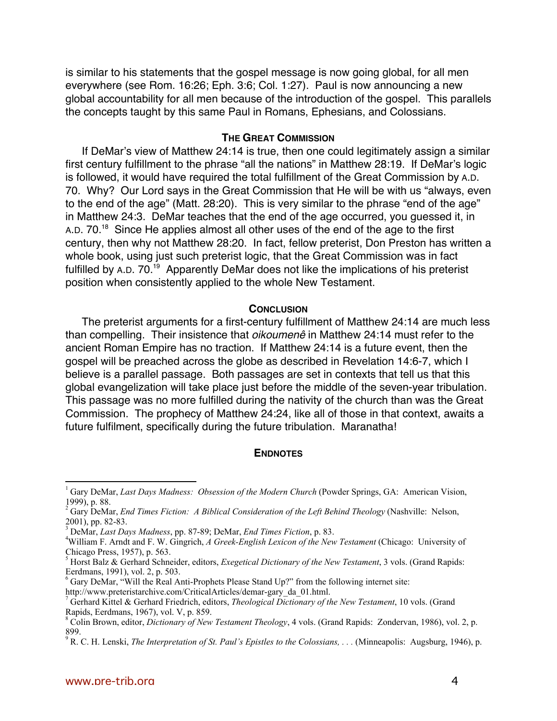is similar to his statements that the gospel message is now going global, for all men everywhere (see Rom. 16:26; Eph. 3:6; Col. 1:27). Paul is now announcing a new global accountability for all men because of the introduction of the gospel. This parallels the concepts taught by this same Paul in Romans, Ephesians, and Colossians.

### **THE GREAT COMMISSION**

If DeMar's view of Matthew 24:14 is true, then one could legitimately assign a similar first century fulfillment to the phrase "all the nations" in Matthew 28:19. If DeMar's logic is followed, it would have required the total fulfillment of the Great Commission by A.D. 70. Why? Our Lord says in the Great Commission that He will be with us "always, even to the end of the age" (Matt. 28:20). This is very similar to the phrase "end of the age" in Matthew 24:3. DeMar teaches that the end of the age occurred, you guessed it, in A.D. 70.<sup>18</sup> Since He applies almost all other uses of the end of the age to the first century, then why not Matthew 28:20. In fact, fellow preterist, Don Preston has written a whole book, using just such preterist logic, that the Great Commission was in fact fulfilled by A.D. 70.<sup>19</sup> Apparently DeMar does not like the implications of his preterist position when consistently applied to the whole New Testament.

#### **CONCLUSION**

The preterist arguments for a first-century fulfillment of Matthew 24:14 are much less than compelling. Their insistence that *oikoumenê* in Matthew 24:14 must refer to the ancient Roman Empire has no traction. If Matthew 24:14 is a future event, then the gospel will be preached across the globe as described in Revelation 14:6-7, which I believe is a parallel passage. Both passages are set in contexts that tell us that this global evangelization will take place just before the middle of the seven-year tribulation. This passage was no more fulfilled during the nativity of the church than was the Great Commission. The prophecy of Matthew 24:24, like all of those in that context, awaits a future fulfilment, specifically during the future tribulation. Maranatha!

#### **ENDNOTES**

<sup>&</sup>lt;sup>1</sup> Gary DeMar, *Last Days Madness: Obsession of the Modern Church* (Powder Springs, GA: American Vision, 1999), p. 88.

<sup>&</sup>lt;sup>2</sup> Gary DeMar, *End Times Fiction: A Biblical Consideration of the Left Behind Theology* (Nashville: Nelson, 2001), pp. 82-83.

<sup>3</sup> DeMar, *Last Days Madness*, pp. 87-89; DeMar, *End Times Fiction*, p. 83. <sup>4</sup>

William F. Arndt and F. W. Gingrich, *A Greek-English Lexicon of the New Testament* (Chicago: University of Chicago Press, 1957), p. 563.

<sup>5</sup> Horst Balz & Gerhard Schneider, editors, *Exegetical Dictionary of the New Testament*, 3 vols. (Grand Rapids: Eerdmans, 1991), vol. 2, p. 503.

<sup>&</sup>lt;sup>6</sup> Gary DeMar, "Will the Real Anti-Prophets Please Stand Up?" from the following internet site: http://www.preteristarchive.com/CriticalArticles/demar-gary\_da\_01.html.

<sup>7</sup> Gerhard Kittel & Gerhard Friedrich, editors, *Theological Dictionary of the New Testament*, 10 vols. (Grand Rapids, Eerdmans, 1967), vol. V, p. 859.

<sup>8</sup> Colin Brown, editor, *Dictionary of New Testament Theology*, 4 vols. (Grand Rapids: Zondervan, 1986), vol. 2, p. 899.

<sup>&</sup>lt;sup>9</sup> R. C. H. Lenski, *The Interpretation of St. Paul's Epistles to the Colossians, . . . (Minneapolis: Augsburg, 1946), p.*